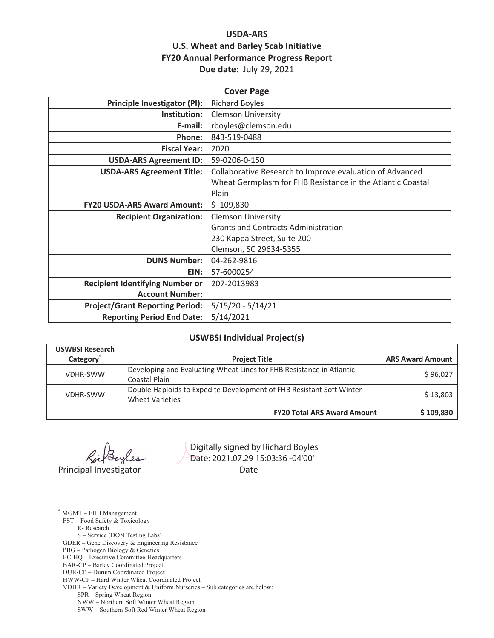# **USDA-ARS U.S. Wheat and Barley Scab Initiative FY20 Annual Performance Progress Report** Due date: July 29, 2021

| <b>Cover Page</b>                      |                                                            |  |  |  |
|----------------------------------------|------------------------------------------------------------|--|--|--|
| Principle Investigator (PI):           | <b>Richard Boyles</b>                                      |  |  |  |
| Institution:                           | <b>Clemson University</b>                                  |  |  |  |
| E-mail:                                | rboyles@clemson.edu                                        |  |  |  |
| Phone:                                 | 843-519-0488                                               |  |  |  |
| <b>Fiscal Year:</b>                    | 2020                                                       |  |  |  |
| <b>USDA-ARS Agreement ID:</b>          | 59-0206-0-150                                              |  |  |  |
| <b>USDA-ARS Agreement Title:</b>       | Collaborative Research to Improve evaluation of Advanced   |  |  |  |
|                                        | Wheat Germplasm for FHB Resistance in the Atlantic Coastal |  |  |  |
|                                        | Plain                                                      |  |  |  |
| <b>FY20 USDA-ARS Award Amount:</b>     | \$109,830                                                  |  |  |  |
| <b>Recipient Organization:</b>         | <b>Clemson University</b>                                  |  |  |  |
|                                        | <b>Grants and Contracts Administration</b>                 |  |  |  |
|                                        | 230 Kappa Street, Suite 200                                |  |  |  |
|                                        | Clemson, SC 29634-5355                                     |  |  |  |
| <b>DUNS Number:</b>                    | 04-262-9816                                                |  |  |  |
| EIN:                                   | 57-6000254                                                 |  |  |  |
| <b>Recipient Identifying Number or</b> | 207-2013983                                                |  |  |  |
| <b>Account Number:</b>                 |                                                            |  |  |  |
| <b>Project/Grant Reporting Period:</b> | $5/15/20 - 5/14/21$                                        |  |  |  |
| <b>Reporting Period End Date:</b>      | 5/14/2021                                                  |  |  |  |

#### **USWBSI Individual Project(s)**

| <b>USWBSI Research</b> |                                                                                                |                         |
|------------------------|------------------------------------------------------------------------------------------------|-------------------------|
| Category <sup>*</sup>  | <b>Project Title</b>                                                                           | <b>ARS Award Amount</b> |
| <b>VDHR-SWW</b>        | Developing and Evaluating Wheat Lines for FHB Resistance in Atlantic<br>Coastal Plain          | \$96,027                |
| <b>VDHR-SWW</b>        | Double Haploids to Expedite Development of FHB Resistant Soft Winter<br><b>Wheat Varieties</b> | \$13,803                |
|                        | <b>FY20 Total ARS Award Amount</b>                                                             | \$109,830               |

Principal Investigator

Digitally signed by Richard Boyles Date: 2021.07.29 15:03:36 -04'00'

Date

\* MGMT - FHB Management

FST - Food Safety & Toxicology

R-Research

S - Service (DON Testing Labs)

GDER - Gene Discovery & Engineering Resistance

PBG - Pathogen Biology & Genetics

EC-HQ - Executive Committee-Headquarters

BAR-CP - Barley Coordinated Project

DUR-CP - Durum Coordinated Project

HWW-CP - Hard Winter Wheat Coordinated Project

VDHR - Variety Development & Uniform Nurseries - Sub categories are below:

SPR - Spring Wheat Region

NWW - Northern Soft Winter Wheat Region

SWW - Southern Soft Red Winter Wheat Region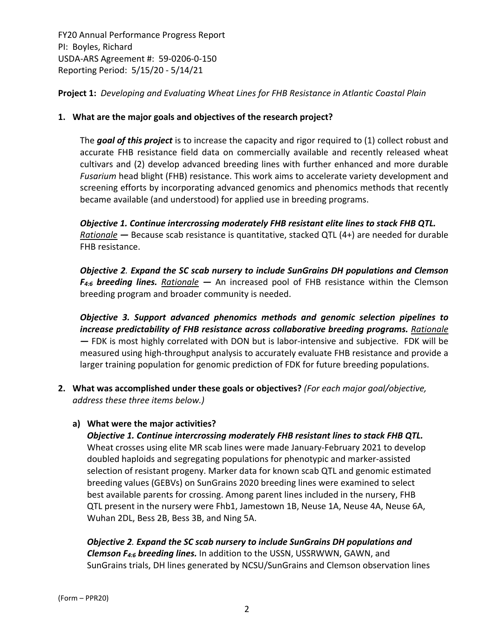**Project 1:** *Developing and Evaluating Wheat Lines for FHB Resistance in Atlantic Coastal Plain*

# **1. What are the major goals and objectives of the research project?**

The *goal of this project* is to increase the capacity and rigor required to (1) collect robust and accurate FHB resistance field data on commercially available and recently released wheat cultivars and (2) develop advanced breeding lines with further enhanced and more durable *Fusarium* head blight (FHB) resistance. This work aims to accelerate variety development and screening efforts by incorporating advanced genomics and phenomics methods that recently became available (and understood) for applied use in breeding programs.

*Objective 1. Continue intercrossing moderately FHB resistant elite lines to stack FHB QTL. Rationale —* Because scab resistance is quantitative, stacked QTL (4+) are needed for durable FHB resistance.

*Objective 2. Expand the SC scab nursery to include SunGrains DH populations and Clemson F4:6 breeding lines. Rationale —* An increased pool of FHB resistance within the Clemson breeding program and broader community is needed.

*Objective 3. Support advanced phenomics methods and genomic selection pipelines to increase predictability of FHB resistance across collaborative breeding programs. Rationale —* FDK is most highly correlated with DON but is labor‐intensive and subjective. FDK will be measured using high‐throughput analysis to accurately evaluate FHB resistance and provide a larger training population for genomic prediction of FDK for future breeding populations.

**2. What was accomplished under these goals or objectives?** *(For each major goal/objective, address these three items below.)*

# **a) What were the major activities?**

*Objective 1. Continue intercrossing moderately FHB resistant lines to stack FHB QTL.* Wheat crosses using elite MR scab lines were made January‐February 2021 to develop doubled haploids and segregating populations for phenotypic and marker‐assisted selection of resistant progeny. Marker data for known scab QTL and genomic estimated breeding values (GEBVs) on SunGrains 2020 breeding lines were examined to select best available parents for crossing. Among parent lines included in the nursery, FHB QTL present in the nursery were Fhb1, Jamestown 1B, Neuse 1A, Neuse 4A, Neuse 6A, Wuhan 2DL, Bess 2B, Bess 3B, and Ning 5A.

*Objective 2. Expand the SC scab nursery to include SunGrains DH populations and Clemson F4:6 breeding lines.* In addition to the USSN, USSRWWN, GAWN, and SunGrains trials, DH lines generated by NCSU/SunGrains and Clemson observation lines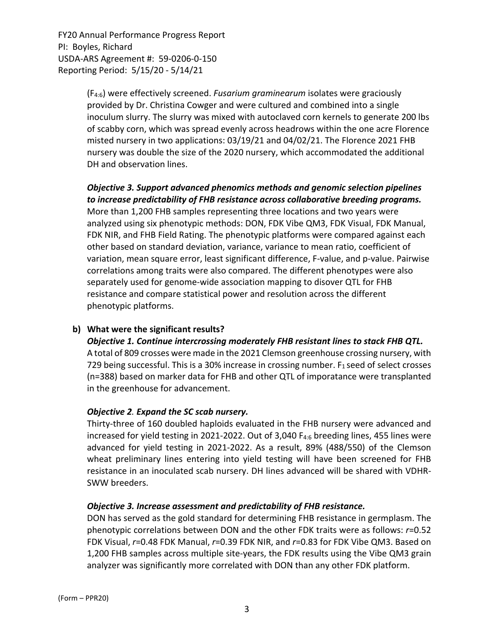> (F4:6) were effectively screened. *Fusarium graminearum* isolates were graciously provided by Dr. Christina Cowger and were cultured and combined into a single inoculum slurry. The slurry was mixed with autoclaved corn kernels to generate 200 lbs of scabby corn, which was spread evenly across headrows within the one acre Florence misted nursery in two applications: 03/19/21 and 04/02/21. The Florence 2021 FHB nursery was double the size of the 2020 nursery, which accommodated the additional DH and observation lines.

> *Objective 3. Support advanced phenomics methods and genomic selection pipelines to increase predictability of FHB resistance across collaborative breeding programs.* More than 1,200 FHB samples representing three locations and two years were analyzed using six phenotypic methods: DON, FDK Vibe QM3, FDK Visual, FDK Manual, FDK NIR, and FHB Field Rating. The phenotypic platforms were compared against each other based on standard deviation, variance, variance to mean ratio, coefficient of variation, mean square error, least significant difference, F‐value, and p‐value. Pairwise correlations among traits were also compared. The different phenotypes were also separately used for genome‐wide association mapping to disover QTL for FHB resistance and compare statistical power and resolution across the different phenotypic platforms.

# **b) What were the significant results?**

*Objective 1. Continue intercrossing moderately FHB resistant lines to stack FHB QTL.*  A total of 809 crosses were made in the 2021 Clemson greenhouse crossing nursery, with 729 being successful. This is a 30% increase in crossing number.  $F<sub>1</sub>$  seed of select crosses (n=388) based on marker data for FHB and other QTL of imporatance were transplanted in the greenhouse for advancement.

# *Objective 2. Expand the SC scab nursery.*

Thirty‐three of 160 doubled haploids evaluated in the FHB nursery were advanced and increased for yield testing in 2021-2022. Out of 3,040  $F_{4:6}$  breeding lines, 455 lines were advanced for yield testing in 2021‐2022. As a result, 89% (488/550) of the Clemson wheat preliminary lines entering into yield testing will have been screened for FHB resistance in an inoculated scab nursery. DH lines advanced will be shared with VDHR‐ SWW breeders.

#### *Objective 3. Increase assessment and predictability of FHB resistance.*

DON has served as the gold standard for determining FHB resistance in germplasm. The phenotypic correlations between DON and the other FDK traits were as follows: *r*=0.52 FDK Visual, *r*=0.48 FDK Manual, *r*=0.39 FDK NIR, and *r*=0.83 for FDK Vibe QM3. Based on 1,200 FHB samples across multiple site‐years, the FDK results using the Vibe QM3 grain analyzer was significantly more correlated with DON than any other FDK platform.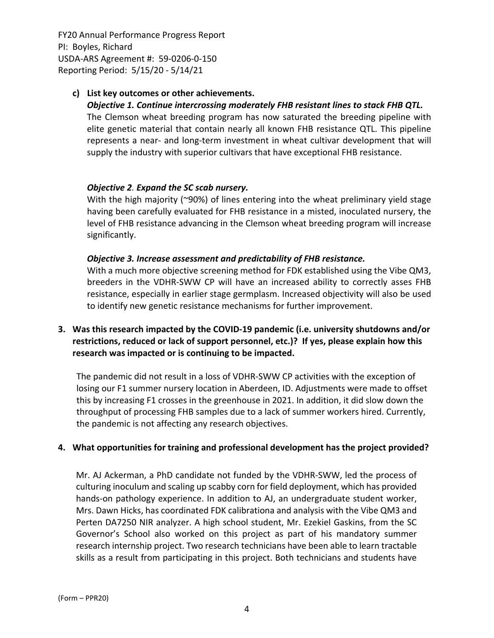### **c) List key outcomes or other achievements.**

*Objective 1. Continue intercrossing moderately FHB resistant lines to stack FHB QTL.*  The Clemson wheat breeding program has now saturated the breeding pipeline with elite genetic material that contain nearly all known FHB resistance QTL. This pipeline represents a near‐ and long‐term investment in wheat cultivar development that will supply the industry with superior cultivars that have exceptional FHB resistance.

#### *Objective 2. Expand the SC scab nursery.*

With the high majority (~90%) of lines entering into the wheat preliminary yield stage having been carefully evaluated for FHB resistance in a misted, inoculated nursery, the level of FHB resistance advancing in the Clemson wheat breeding program will increase significantly.

#### *Objective 3. Increase assessment and predictability of FHB resistance.*

With a much more objective screening method for FDK established using the Vibe QM3, breeders in the VDHR‐SWW CP will have an increased ability to correctly asses FHB resistance, especially in earlier stage germplasm. Increased objectivity will also be used to identify new genetic resistance mechanisms for further improvement.

# **3. Was this research impacted by the COVID‐19 pandemic (i.e. university shutdowns and/or restrictions, reduced or lack of support personnel, etc.)? If yes, please explain how this research was impacted or is continuing to be impacted.**

The pandemic did not result in a loss of VDHR‐SWW CP activities with the exception of losing our F1 summer nursery location in Aberdeen, ID. Adjustments were made to offset this by increasing F1 crosses in the greenhouse in 2021. In addition, it did slow down the throughput of processing FHB samples due to a lack of summer workers hired. Currently, the pandemic is not affecting any research objectives.

# **4. What opportunities for training and professional development has the project provided?**

Mr. AJ Ackerman, a PhD candidate not funded by the VDHR‐SWW, led the process of culturing inoculum and scaling up scabby corn for field deployment, which has provided hands-on pathology experience. In addition to AJ, an undergraduate student worker, Mrs. Dawn Hicks, has coordinated FDK calibrationa and analysis with the Vibe QM3 and Perten DA7250 NIR analyzer. A high school student, Mr. Ezekiel Gaskins, from the SC Governor's School also worked on this project as part of his mandatory summer research internship project. Two research technicians have been able to learn tractable skills as a result from participating in this project. Both technicians and students have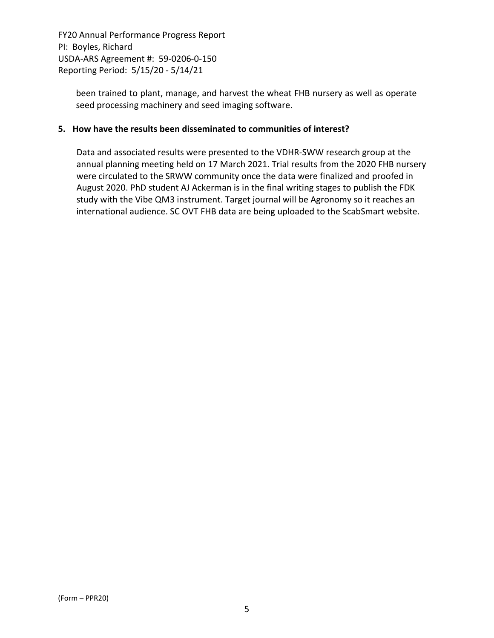> been trained to plant, manage, and harvest the wheat FHB nursery as well as operate seed processing machinery and seed imaging software.

#### **5. How have the results been disseminated to communities of interest?**

Data and associated results were presented to the VDHR‐SWW research group at the annual planning meeting held on 17 March 2021. Trial results from the 2020 FHB nursery were circulated to the SRWW community once the data were finalized and proofed in August 2020. PhD student AJ Ackerman is in the final writing stages to publish the FDK study with the Vibe QM3 instrument. Target journal will be Agronomy so it reaches an international audience. SC OVT FHB data are being uploaded to the ScabSmart website.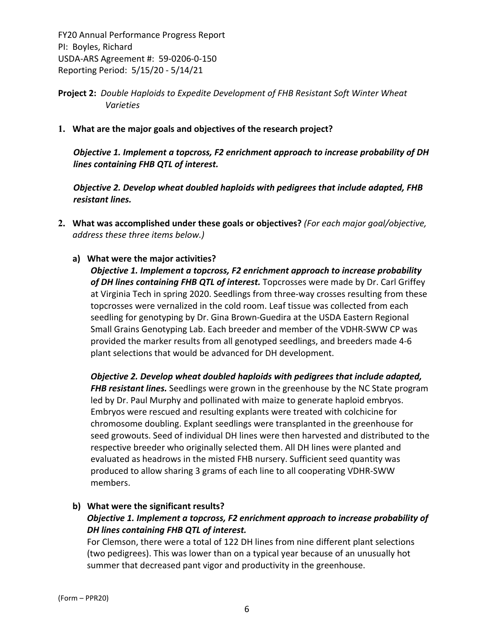- **Project 2:** *Double Haploids to Expedite Development of FHB Resistant Soft Winter Wheat Varieties*
- **1. What are the major goals and objectives of the research project?**

*Objective 1. Implement a topcross, F2 enrichment approach to increase probability of DH lines containing FHB QTL of interest.*

*Objective 2. Develop wheat doubled haploids with pedigrees that include adapted, FHB resistant lines.*

**2. What was accomplished under these goals or objectives?** *(For each major goal/objective, address these three items below.)*

# **a) What were the major activities?**

*Objective 1. Implement a topcross, F2 enrichment approach to increase probability of DH lines containing FHB QTL of interest.* Topcrosses were made by Dr. Carl Griffey at Virginia Tech in spring 2020. Seedlings from three‐way crosses resulting from these topcrosses were vernalized in the cold room. Leaf tissue was collected from each seedling for genotyping by Dr. Gina Brown‐Guedira at the USDA Eastern Regional Small Grains Genotyping Lab. Each breeder and member of the VDHR‐SWW CP was provided the marker results from all genotyped seedlings, and breeders made 4‐6 plant selections that would be advanced for DH development.

*Objective 2. Develop wheat doubled haploids with pedigrees that include adapted, FHB resistant lines.* Seedlings were grown in the greenhouse by the NC State program led by Dr. Paul Murphy and pollinated with maize to generate haploid embryos. Embryos were rescued and resulting explants were treated with colchicine for chromosome doubling. Explant seedlings were transplanted in the greenhouse for seed growouts. Seed of individual DH lines were then harvested and distributed to the respective breeder who originally selected them. All DH lines were planted and evaluated as headrows in the misted FHB nursery. Sufficient seed quantity was produced to allow sharing 3 grams of each line to all cooperating VDHR‐SWW members.

# **b) What were the significant results?**

# *Objective 1. Implement a topcross, F2 enrichment approach to increase probability of DH lines containing FHB QTL of interest.*

For Clemson, there were a total of 122 DH lines from nine different plant selections (two pedigrees). This was lower than on a typical year because of an unusually hot summer that decreased pant vigor and productivity in the greenhouse.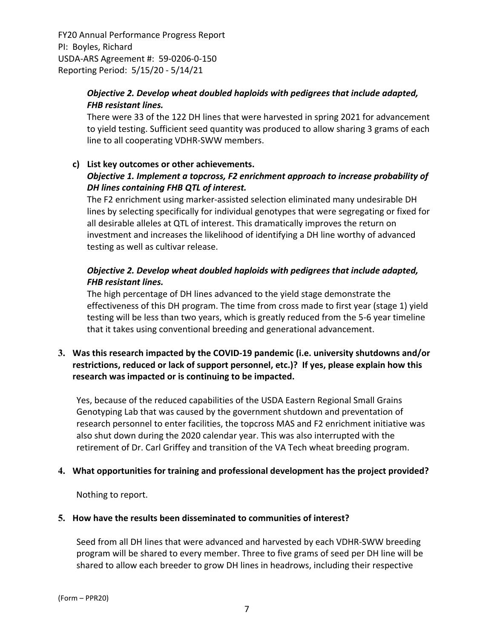# *Objective 2. Develop wheat doubled haploids with pedigrees that include adapted, FHB resistant lines.*

There were 33 of the 122 DH lines that were harvested in spring 2021 for advancement to yield testing. Sufficient seed quantity was produced to allow sharing 3 grams of each line to all cooperating VDHR‐SWW members.

# **c) List key outcomes or other achievements.**  *Objective 1. Implement a topcross, F2 enrichment approach to increase probability of DH lines containing FHB QTL of interest.*

The F2 enrichment using marker‐assisted selection eliminated many undesirable DH lines by selecting specifically for individual genotypes that were segregating or fixed for all desirable alleles at QTL of interest. This dramatically improves the return on investment and increases the likelihood of identifying a DH line worthy of advanced testing as well as cultivar release.

# *Objective 2. Develop wheat doubled haploids with pedigrees that include adapted, FHB resistant lines.*

The high percentage of DH lines advanced to the yield stage demonstrate the effectiveness of this DH program. The time from cross made to first year (stage 1) yield testing will be less than two years, which is greatly reduced from the 5‐6 year timeline that it takes using conventional breeding and generational advancement.

# **3. Was this research impacted by the COVID‐19 pandemic (i.e. university shutdowns and/or restrictions, reduced or lack of support personnel, etc.)? If yes, please explain how this research was impacted or is continuing to be impacted.**

Yes, because of the reduced capabilities of the USDA Eastern Regional Small Grains Genotyping Lab that was caused by the government shutdown and preventation of research personnel to enter facilities, the topcross MAS and F2 enrichment initiative was also shut down during the 2020 calendar year. This was also interrupted with the retirement of Dr. Carl Griffey and transition of the VA Tech wheat breeding program.

# **4. What opportunities for training and professional development has the project provided?**

Nothing to report.

# **5. How have the results been disseminated to communities of interest?**

Seed from all DH lines that were advanced and harvested by each VDHR‐SWW breeding program will be shared to every member. Three to five grams of seed per DH line will be shared to allow each breeder to grow DH lines in headrows, including their respective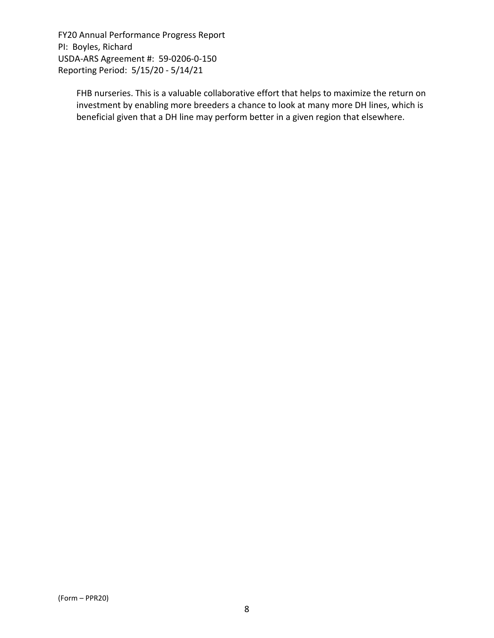> FHB nurseries. This is a valuable collaborative effort that helps to maximize the return on investment by enabling more breeders a chance to look at many more DH lines, which is beneficial given that a DH line may perform better in a given region that elsewhere.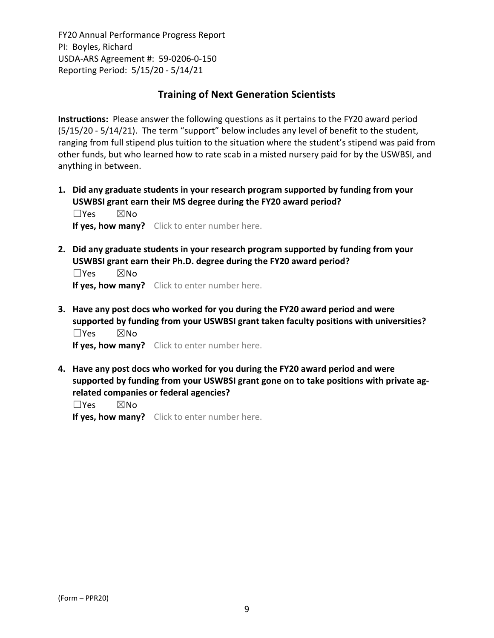# **Training of Next Generation Scientists**

**Instructions:** Please answer the following questions as it pertains to the FY20 award period (5/15/20 ‐ 5/14/21). The term "support" below includes any level of benefit to the student, ranging from full stipend plus tuition to the situation where the student's stipend was paid from other funds, but who learned how to rate scab in a misted nursery paid for by the USWBSI, and anything in between.

**1. Did any graduate students in your research program supported by funding from your USWBSI grant earn their MS degree during the FY20 award period?** ☐Yes ☒No

**If yes, how many?** Click to enter number here.

**2. Did any graduate students in your research program supported by funding from your USWBSI grant earn their Ph.D. degree during the FY20 award period?**

 $\square$ Yes  $\square$ No **If yes, how many?** Click to enter number here.

**3. Have any post docs who worked for you during the FY20 award period and were supported by funding from your USWBSI grant taken faculty positions with universities?** ☐Yes ☒No

**If yes, how many?** Click to enter number here.

**4. Have any post docs who worked for you during the FY20 award period and were supported by funding from your USWBSI grant gone on to take positions with private ag‐ related companies or federal agencies?**

☐Yes ☒No

**If yes, how many?** Click to enter number here.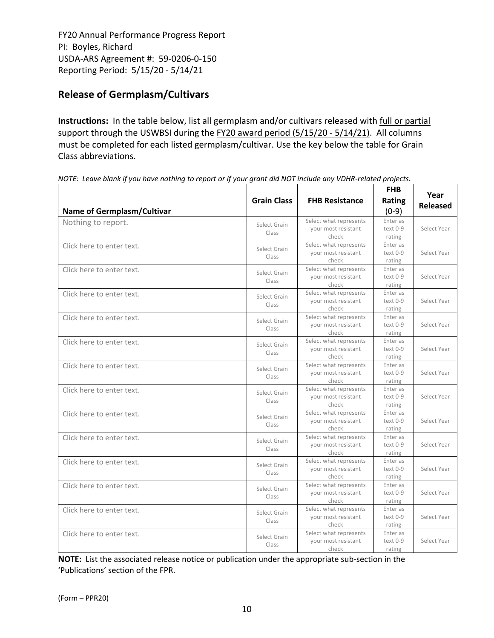# **Release of Germplasm/Cultivars**

**Instructions:** In the table below, list all germplasm and/or cultivars released with full or partial support through the USWBSI during the FY20 award period (5/15/20 - 5/14/21). All columns must be completed for each listed germplasm/cultivar. Use the key below the table for Grain Class abbreviations. 

| <b>Name of Germplasm/Cultivar</b> | <b>Grain Class</b>    | <b>FHB Resistance</b>                                  | <b>FHB</b><br>Rating<br>$(0-9)$ | Year<br><b>Released</b> |
|-----------------------------------|-----------------------|--------------------------------------------------------|---------------------------------|-------------------------|
| Nothing to report.                | Select Grain<br>Class | Select what represents<br>your most resistant<br>check | Enter as<br>text 0-9<br>rating  | Select Year             |
| Click here to enter text.         | Select Grain<br>Class | Select what represents<br>your most resistant<br>check | Enter as<br>text 0-9<br>rating  | Select Year             |
| Click here to enter text.         | Select Grain<br>Class | Select what represents<br>your most resistant<br>check | Enter as<br>text 0-9<br>rating  | Select Year             |
| Click here to enter text.         | Select Grain<br>Class | Select what represents<br>your most resistant<br>check | Enter as<br>text 0-9<br>rating  | Select Year             |
| Click here to enter text.         | Select Grain<br>Class | Select what represents<br>your most resistant<br>check | Enter as<br>text 0-9<br>rating  | Select Year             |
| Click here to enter text.         | Select Grain<br>Class | Select what represents<br>your most resistant<br>check | Enter as<br>text 0-9<br>rating  | Select Year             |
| Click here to enter text.         | Select Grain<br>Class | Select what represents<br>your most resistant<br>check | Enter as<br>text 0-9<br>rating  | Select Year             |
| Click here to enter text.         | Select Grain<br>Class | Select what represents<br>your most resistant<br>check | Enter as<br>text 0-9<br>rating  | Select Year             |
| Click here to enter text.         | Select Grain<br>Class | Select what represents<br>your most resistant<br>check | Enter as<br>text 0-9<br>rating  | Select Year             |
| Click here to enter text.         | Select Grain<br>Class | Select what represents<br>your most resistant<br>check | Enter as<br>text 0-9<br>rating  | Select Year             |
| Click here to enter text.         | Select Grain<br>Class | Select what represents<br>your most resistant<br>check | Enter as<br>text 0-9<br>rating  | Select Year             |
| Click here to enter text.         | Select Grain<br>Class | Select what represents<br>your most resistant<br>check | Enter as<br>text 0-9<br>rating  | Select Year             |
| Click here to enter text.         | Select Grain<br>Class | Select what represents<br>your most resistant<br>check | Enter as<br>text 0-9<br>rating  | Select Year             |
| Click here to enter text.         | Select Grain<br>Class | Select what represents<br>your most resistant<br>check | Enter as<br>text 0-9<br>rating  | Select Year             |

NOTE: Leave blank if you have nothing to report or if your grant did NOT include any VDHR-related projects.

**NOTE:** List the associated release notice or publication under the appropriate sub-section in the 'Publications' section of the FPR.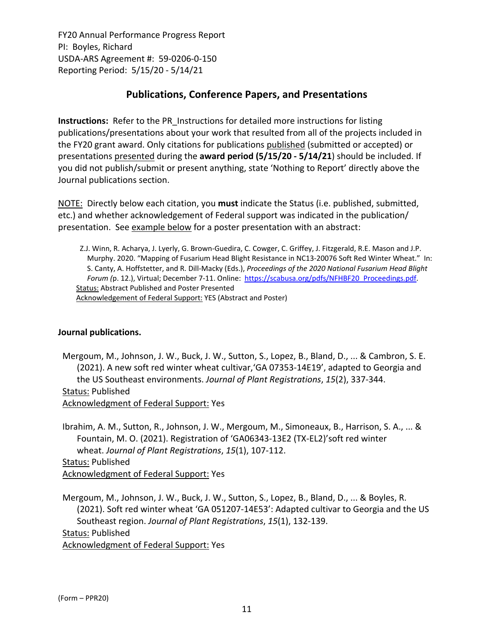# **Publications, Conference Papers, and Presentations**

**Instructions:** Refer to the PR\_Instructions for detailed more instructions for listing publications/presentations about your work that resulted from all of the projects included in the FY20 grant award. Only citations for publications published (submitted or accepted) or presentations presented during the **award period (5/15/20 ‐ 5/14/21**) should be included. If you did not publish/submit or present anything, state 'Nothing to Report' directly above the Journal publications section.

NOTE: Directly below each citation, you **must** indicate the Status (i.e. published, submitted, etc.) and whether acknowledgement of Federal support was indicated in the publication/ presentation. See example below for a poster presentation with an abstract:

Z.J. Winn, R. Acharya, J. Lyerly, G. Brown‐Guedira, C. Cowger, C. Griffey, J. Fitzgerald, R.E. Mason and J.P. Murphy. 2020. "Mapping of Fusarium Head Blight Resistance in NC13‐20076 Soft Red Winter Wheat." In: S. Canty, A. Hoffstetter, and R. Dill‐Macky (Eds.), *Proceedings of the 2020 National Fusarium Head Blight Forum (*p. 12.), Virtual; December 7‐11. Online: https://scabusa.org/pdfs/NFHBF20\_Proceedings.pdf. Status: Abstract Published and Poster Presented Acknowledgement of Federal Support: YES (Abstract and Poster)

# **Journal publications.**

Mergoum, M., Johnson, J. W., Buck, J. W., Sutton, S., Lopez, B., Bland, D., ... & Cambron, S. E. (2021). A new soft red winter wheat cultivar,'GA 07353‐14E19', adapted to Georgia and the US Southeast environments. *Journal of Plant Registrations*, *15*(2), 337‐344. Status: Published Acknowledgment of Federal Support: Yes

Ibrahim, A. M., Sutton, R., Johnson, J. W., Mergoum, M., Simoneaux, B., Harrison, S. A., ... & Fountain, M. O. (2021). Registration of 'GA06343‐13E2 (TX‐EL2)'soft red winter wheat. *Journal of Plant Registrations*, *15*(1), 107‐112. Status: Published Acknowledgment of Federal Support: Yes

Mergoum, M., Johnson, J. W., Buck, J. W., Sutton, S., Lopez, B., Bland, D., ... & Boyles, R. (2021). Soft red winter wheat 'GA 051207‐14E53': Adapted cultivar to Georgia and the US Southeast region. *Journal of Plant Registrations*, *15*(1), 132‐139. Status: Published Acknowledgment of Federal Support: Yes